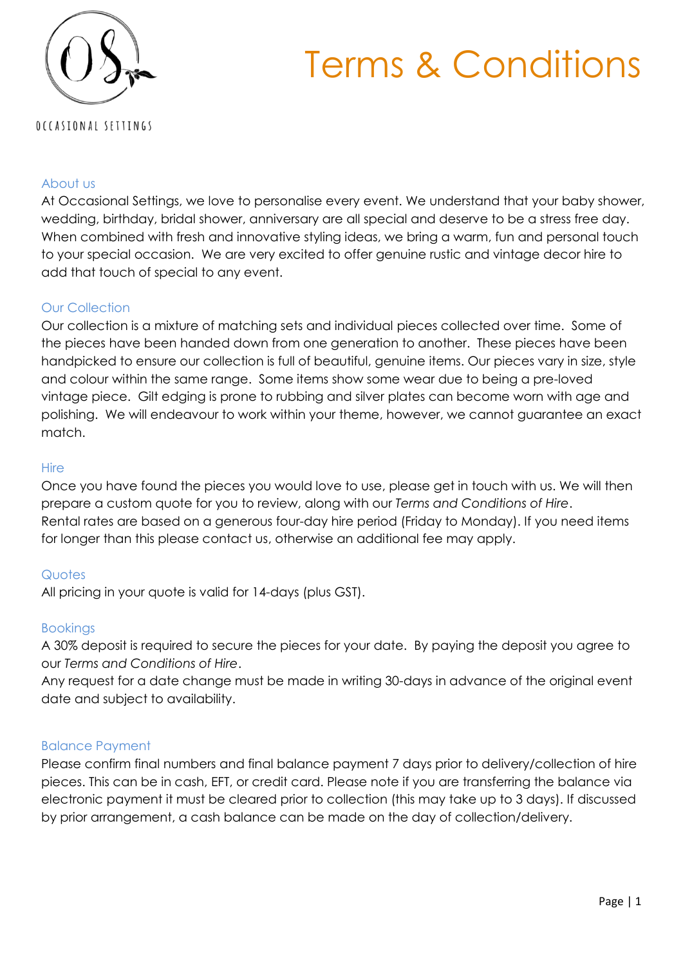



#### About us

At Occasional Settings, we love to personalise every event. We understand that your baby shower, wedding, birthday, bridal shower, anniversary are all special and deserve to be a stress free day. When combined with fresh and innovative styling ideas, we bring a warm, fun and personal touch to your special occasion. We are very excited to offer genuine rustic and vintage decor hire to add that touch of special to any event.

#### Our Collection

Our collection is a mixture of matching sets and individual pieces collected over time. Some of the pieces have been handed down from one generation to another. These pieces have been handpicked to ensure our collection is full of beautiful, genuine items. Our pieces vary in size, style and colour within the same range. Some items show some wear due to being a pre-loved vintage piece. Gilt edging is prone to rubbing and silver plates can become worn with age and polishing. We will endeavour to work within your theme, however, we cannot guarantee an exact match.

#### **Hire**

Once you have found the pieces you would love to use, please get in touch with us. We will then prepare a custom quote for you to review, along with our *Terms and Conditions of Hire*. Rental rates are based on a generous four-day hire period (Friday to Monday). If you need items for longer than this please contact us, otherwise an additional fee may apply.

#### **Quotes**

All pricing in your quote is valid for 14-days (plus GST).

#### Bookings

A 30% deposit is required to secure the pieces for your date. By paying the deposit you agree to our *Terms and Conditions of Hire*.

Any request for a date change must be made in writing 30-days in advance of the original event date and subject to availability.

#### Balance Payment

Please confirm final numbers and final balance payment 7 days prior to delivery/collection of hire pieces. This can be in cash, EFT, or credit card. Please note if you are transferring the balance via electronic payment it must be cleared prior to collection (this may take up to 3 days). If discussed by prior arrangement, a cash balance can be made on the day of collection/delivery.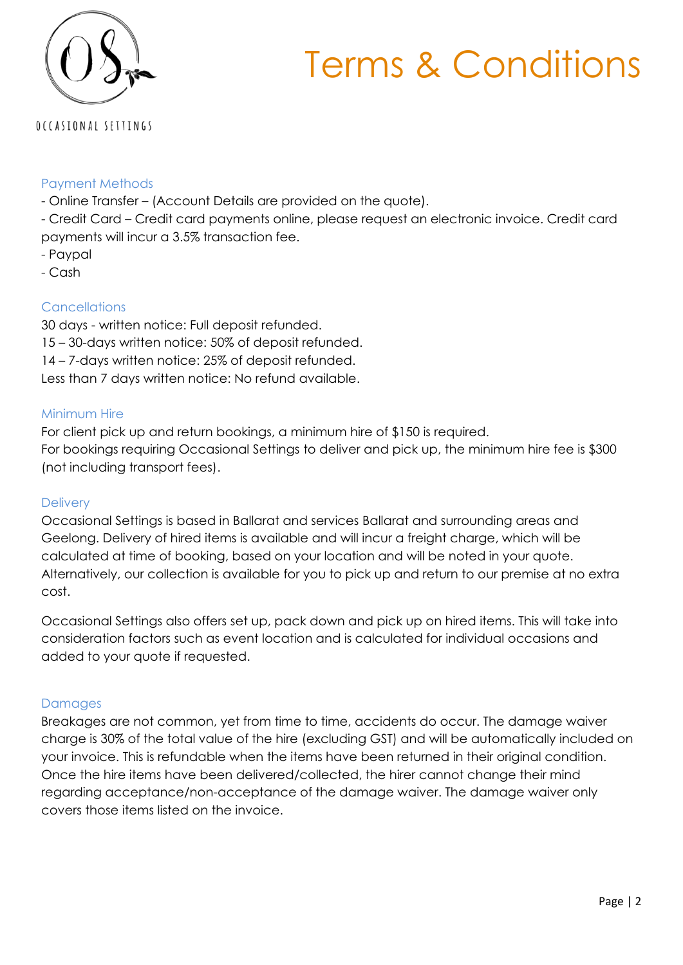# Terms & Conditions



### OCCASIONAL SETTINGS

#### Payment Methods

- Online Transfer (Account Details are provided on the quote).
- Credit Card Credit card payments online, please request an electronic invoice. Credit card payments will incur a 3.5% transaction fee.
- Paypal
- Cash

#### **Cancellations**

30 days - written notice: Full deposit refunded. 15 – 30-days written notice: 50% of deposit refunded. 14 – 7-days written notice: 25% of deposit refunded. Less than 7 days written notice: No refund available.

#### Minimum Hire

For client pick up and return bookings, a minimum hire of \$150 is required. For bookings requiring Occasional Settings to deliver and pick up, the minimum hire fee is \$300 (not including transport fees).

#### **Delivery**

Occasional Settings is based in Ballarat and services Ballarat and surrounding areas and Geelong. Delivery of hired items is available and will incur a freight charge, which will be calculated at time of booking, based on your location and will be noted in your quote. Alternatively, our collection is available for you to pick up and return to our premise at no extra cost.

Occasional Settings also offers set up, pack down and pick up on hired items. This will take into consideration factors such as event location and is calculated for individual occasions and added to your quote if requested.

#### Damages

Breakages are not common, yet from time to time, accidents do occur. The damage waiver charge is 30% of the total value of the hire (excluding GST) and will be automatically included on your invoice. This is refundable when the items have been returned in their original condition. Once the hire items have been delivered/collected, the hirer cannot change their mind regarding acceptance/non-acceptance of the damage waiver. The damage waiver only covers those items listed on the invoice.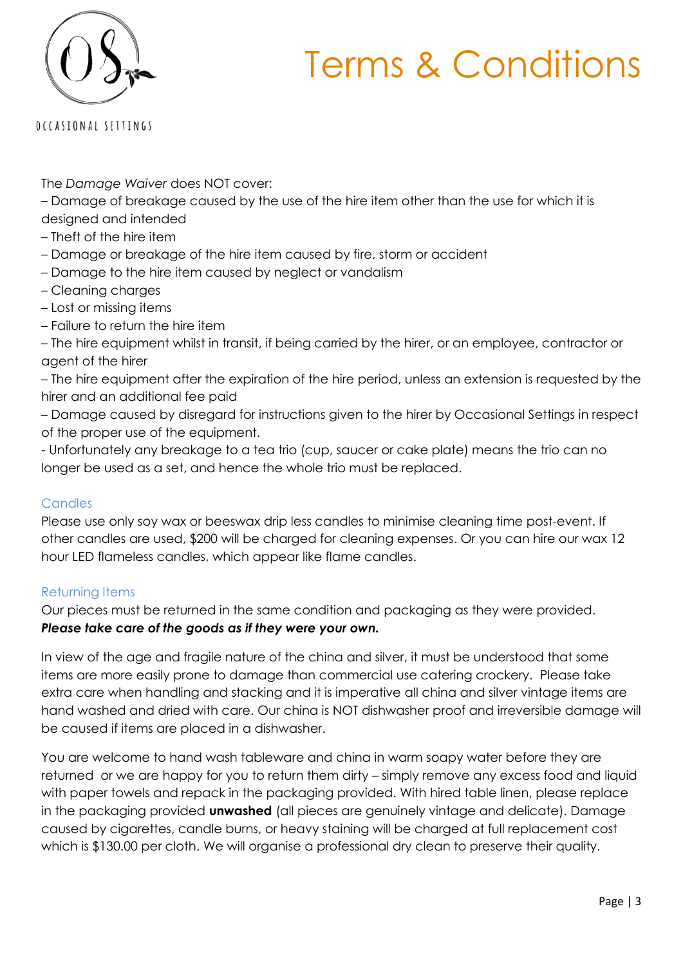## Terms & Conditions



OCCASIONAL SETTINGS

The *Damage Waiver* does NOT cover:

– Damage of breakage caused by the use of the hire item other than the use for which it is designed and intended

- Theft of the hire item
- Damage or breakage of the hire item caused by fire, storm or accident
- Damage to the hire item caused by neglect or vandalism
- Cleaning charges
- Lost or missing items
- Failure to return the hire item

– The hire equipment whilst in transit, if being carried by the hirer, or an employee, contractor or agent of the hirer

– The hire equipment after the expiration of the hire period, unless an extension is requested by the hirer and an additional fee paid

– Damage caused by disregard for instructions given to the hirer by Occasional Settings in respect of the proper use of the equipment.

- Unfortunately any breakage to a tea trio (cup, saucer or cake plate) means the trio can no longer be used as a set, and hence the whole trio must be replaced.

#### **Candles**

Please use only soy wax or beeswax drip less candles to minimise cleaning time post-event. If other candles are used, \$200 will be charged for cleaning expenses. Or you can hire our wax 12 hour LED flameless candles, which appear like flame candles.

#### Returning Items

Our pieces must be returned in the same condition and packaging as they were provided. *Please take care of the goods as if they were your own.*

In view of the age and fragile nature of the china and silver, it must be understood that some items are more easily prone to damage than commercial use catering crockery. Please take extra care when handling and stacking and it is imperative all china and silver vintage items are hand washed and dried with care. Our china is NOT dishwasher proof and irreversible damage will be caused if items are placed in a dishwasher.

You are welcome to hand wash tableware and china in warm soapy water before they are returned or we are happy for you to return them dirty – simply remove any excess food and liquid with paper towels and repack in the packaging provided. With hired table linen, please replace in the packaging provided **unwashed** (all pieces are genuinely vintage and delicate). Damage caused by cigarettes, candle burns, or heavy staining will be charged at full replacement cost which is \$130.00 per cloth. We will organise a professional dry clean to preserve their quality.